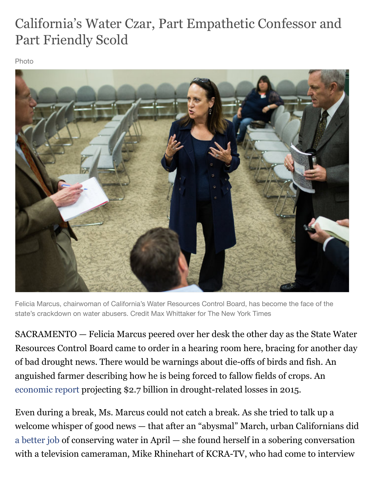# California's Water Czar, Part Empathetic Confessor and Part Friendly Scold

Photo



Felicia Marcus, chairwoman of California's Water Resources Control Board, has become the face of the state's crackdown on water abusers. Credit Max Whittaker for The New York Times

SACRAMENTO — Felicia Marcus peered over her desk the other day as the State Water Resources Control Board came to order in a hearing room here, bracing for another day of bad drought news. There would be warnings about die-offs of birds and fish. An anguished farmer describing how he is being forced to fallow fields of crops. An [economic report](http://ucfoodobserver.com/2015/06/04/uc-davis-issues-2015-drought-economic-impact-study/) projecting \$2.7 billion in drought-related losses in 2015.

Even during a break, Ms. Marcus could not catch a break. As she tried to talk up a welcome whisper of good news — that after an "abysmal" March, urban Californians did [a better job](http://www.nytimes.com/2015/06/03/us/californians-are-encouraged-by-sharp-drop-in-water-use.html) of conserving water in April — she found herself in a sobering conversation with a television cameraman, Mike Rhinehart of KCRA-TV, who had come to interview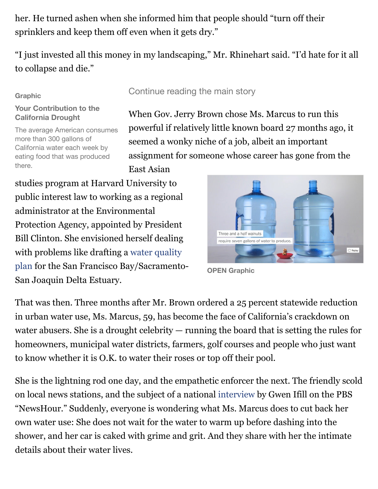her. He turned ashen when she informed him that people should "turn off their sprinklers and keep them off even when it gets dry."

"I just invested all this money in my landscaping," Mr. Rhinehart said. "I'd hate for it all to collapse and die."

### **Graphic**

#### **Your Contribution to the California Drought**

The average American consumes more than 300 gallons of California water each week by eating food that was produced there.

## Continue reading the main story

When Gov. Jerry Brown chose Ms. Marcus to run this powerful if relatively little known board 27 months ago, it seemed a wonky niche of a job, albeit an important assignment for someone whose career has gone from the

East Asian

studies program at Harvard University to public interest law to working as a regional administrator at the Environmental Protection Agency, appointed by President Bill Clinton. She envisioned herself dealing with problems like drafting a water quality [plan for the San Francisco Bay/Sacramento](http://www.waterboards.ca.gov/waterrights/water_issues/programs/bay_delta/)-San Joaquin Delta Estuary.



**OPEN Graphic**

That was then. Three months after Mr. Brown ordered a 25 percent statewide reduction in urban water use, Ms. Marcus, 59, has become the face of California's crackdown on water abusers. She is a drought celebrity — running the board that is setting the rules for homeowners, municipal water districts, farmers, golf courses and people who just want to know whether it is O.K. to water their roses or top off their pool.

She is the lightning rod one day, and the empathetic enforcer the next. The friendly scold on local news stations, and the subject of a national [interview](https://www.youtube.com/watch?v=TQG9023ukDk) by Gwen Ifill on the PBS "NewsHour." Suddenly, everyone is wondering what Ms. Marcus does to cut back her own water use: She does not wait for the water to warm up before dashing into the shower, and her car is caked with grime and grit. And they share with her the intimate details about their water lives.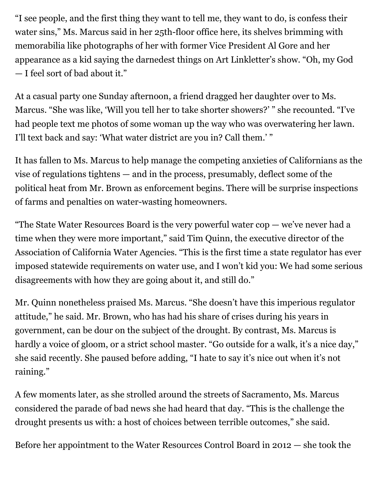"I see people, and the first thing they want to tell me, they want to do, is confess their water sins," Ms. Marcus said in her 25th-floor office here, its shelves brimming with memorabilia like photographs of her with former Vice President Al Gore and her appearance as a kid saying the darnedest things on Art Linkletter's show. "Oh, my God — I feel sort of bad about it."

At a casual party one Sunday afternoon, a friend dragged her daughter over to Ms. Marcus. "She was like, 'Will you tell her to take shorter showers?' " she recounted. "I've had people text me photos of some woman up the way who was overwatering her lawn. I'll text back and say: 'What water district are you in? Call them.' "

It has fallen to Ms. Marcus to help manage the competing anxieties of Californians as the vise of regulations tightens — and in the process, presumably, deflect some of the political heat from Mr. Brown as enforcement begins. There will be surprise inspections of farms and penalties on water-wasting homeowners.

"The State Water Resources Board is the very powerful water cop — we've never had a time when they were more important," said Tim Quinn, the executive director of the Association of California Water Agencies. "This is the first time a state regulator has ever imposed statewide requirements on water use, and I won't kid you: We had some serious disagreements with how they are going about it, and still do."

Mr. Quinn nonetheless praised Ms. Marcus. "She doesn't have this imperious regulator attitude," he said. Mr. Brown, who has had his share of crises during his years in government, can be dour on the subject of the drought. By contrast, Ms. Marcus is hardly a voice of gloom, or a strict school master. "Go outside for a walk, it's a nice day," she said recently. She paused before adding, "I hate to say it's nice out when it's not raining."

A few moments later, as she strolled around the streets of Sacramento, Ms. Marcus considered the parade of bad news she had heard that day. "This is the challenge the drought presents us with: a host of choices between terrible outcomes," she said.

Before her appointment to the Water Resources Control Board in 2012 — she took the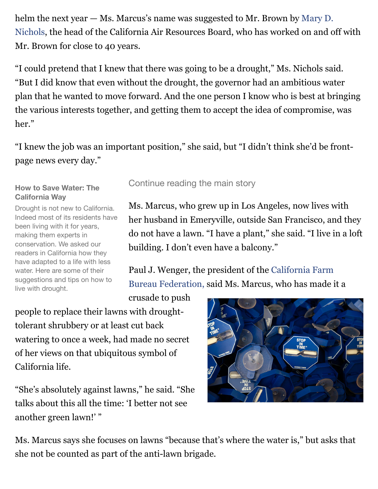[helm the next year — Ms. Marcus's name was suggested to Mr. Brown by Mary D.](http://www.arb.ca.gov/board/bio/marynichols.htm) Nichols, the head of the California Air Resources Board, who has worked on and off with Mr. Brown for close to 40 years.

"I could pretend that I knew that there was going to be a drought," Ms. Nichols said. "But I did know that even without the drought, the governor had an ambitious water plan that he wanted to move forward. And the one person I know who is best at bringing the various interests together, and getting them to accept the idea of compromise, was her."

"I knew the job was an important position," she said, but "I didn't think she'd be frontpage news every day."

### **How to Save Water: The California Way**

Drought is not new to California. Indeed most of its residents have been living with it for years, making them experts in conservation. We asked our readers in California how they have adapted to a life with less water. Here are some of their suggestions and tips on how to live with drought.

Continue reading the main story

Ms. Marcus, who grew up in Los Angeles, now lives with her husband in Emeryville, outside San Francisco, and they do not have a lawn. "I have a plant," she said. "I live in a loft building. I don't even have a balcony."

Paul J. Wenger, the president of the California Farm [Bureau Federation, said Ms. Marcus, who has made i](http://www.cfbf.com/)t a

crusade to push people to replace their lawns with droughttolerant shrubbery or at least cut back watering to once a week, had made no secret of her views on that ubiquitous symbol of California life.

"She's absolutely against lawns," he said. "She talks about this all the time: 'I better not see another green lawn!' "

Ms. Marcus says she focuses on lawns "because that's where the water is," but asks that she not be counted as part of the anti-lawn brigade.